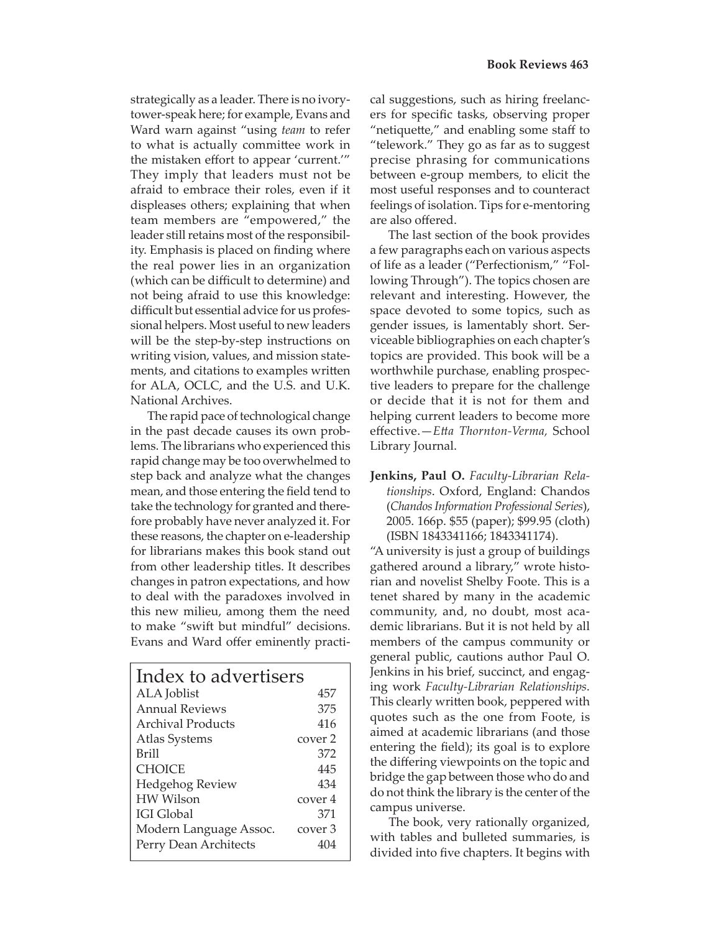strategically as a leader. There is no ivorytower-speak here; for example, Evans and Ward warn against "using *team* to refer to what is actually committee work in the mistaken effort to appear 'current.'" They imply that leaders must not be afraid to embrace their roles, even if it displeases others; explaining that when team members are "empowered," the leader still retains most of the responsibility. Emphasis is placed on finding where the real power lies in an organization (which can be difficult to determine) and not being afraid to use this knowledge: difficult but essential advice for us professional helpers. Most useful to new leaders will be the step-by-step instructions on writing vision, values, and mission statements, and citations to examples written for ALA, OCLC, and the U.S. and U.K. National Archives.

 The rapid pace of technological change in the past decade causes its own problems. The librarians who experienced this rapid change may be too overwhelmed to step back and analyze what the changes mean, and those entering the field tend to take the technology for granted and therefore probably have never analyzed it. For these reasons, the chapter on e-leadership for librarians makes this book stand out from other leadership titles. It describes changes in patron expectations, and how to deal with the paradoxes involved in this new milieu, among them the need to make "swift but mindful" decisions. Evans and Ward offer eminently practi-

| Index to advertisers   |                    |
|------------------------|--------------------|
| ALA Joblist            | 457                |
| <b>Annual Reviews</b>  | 375                |
| Archival Products      | 416                |
| Atlas Systems          | cover 2            |
| <b>Brill</b>           | 372                |
| <b>CHOICE</b>          | 445                |
| Hedgehog Review        | 434                |
| <b>HW</b> Wilson       | cover 4            |
| <b>IGI Global</b>      | 371                |
| Modern Language Assoc. | cover <sub>3</sub> |
| Perry Dean Architects  | 404                |
|                        |                    |

cal suggestions, such as hiring freelancers for specific tasks, observing proper "netiquette," and enabling some staff to "telework." They go as far as to suggest precise phrasing for communications between e-group members, to elicit the most useful responses and to counteract feelings of isolation. Tips for e-mentoring are also offered.

 The last section of the book provides a few paragraphs each on various aspects of life as a leader ("Perfectionism," "Following Through"). The topics chosen are relevant and interesting. However, the space devoted to some topics, such as gender issues, is lamentably short. Serviceable bibliographies on each chapter's topics are provided. This book will be a worthwhile purchase, enabling prospective leaders to prepare for the challenge or decide that it is not for them and helping current leaders to become more eff ective.—*Ett a Thornton-Verma,* School Library Journal.

**Jenkins, Paul O.** *Faculty-Librarian Relationships*. Oxford, England: Chandos (*Chandos Information Professional Series*), 2005. 166p. \$55 (paper); \$99.95 (cloth) (ISBN 1843341166; 1843341174).

"A university is just a group of buildings gathered around a library," wrote historian and novelist Shelby Foote. This is a tenet shared by many in the academic community, and, no doubt, most academic librarians. But it is not held by all members of the campus community or general public, cautions author Paul O. Jenkins in his brief, succinct, and engaging work *Faculty-Librarian Relationships*. This clearly written book, peppered with quotes such as the one from Foote, is aimed at academic librarians (and those entering the field); its goal is to explore the differing viewpoints on the topic and bridge the gap between those who do and do not think the library is the center of the campus universe.

 The book, very rationally organized, with tables and bulleted summaries, is divided into five chapters. It begins with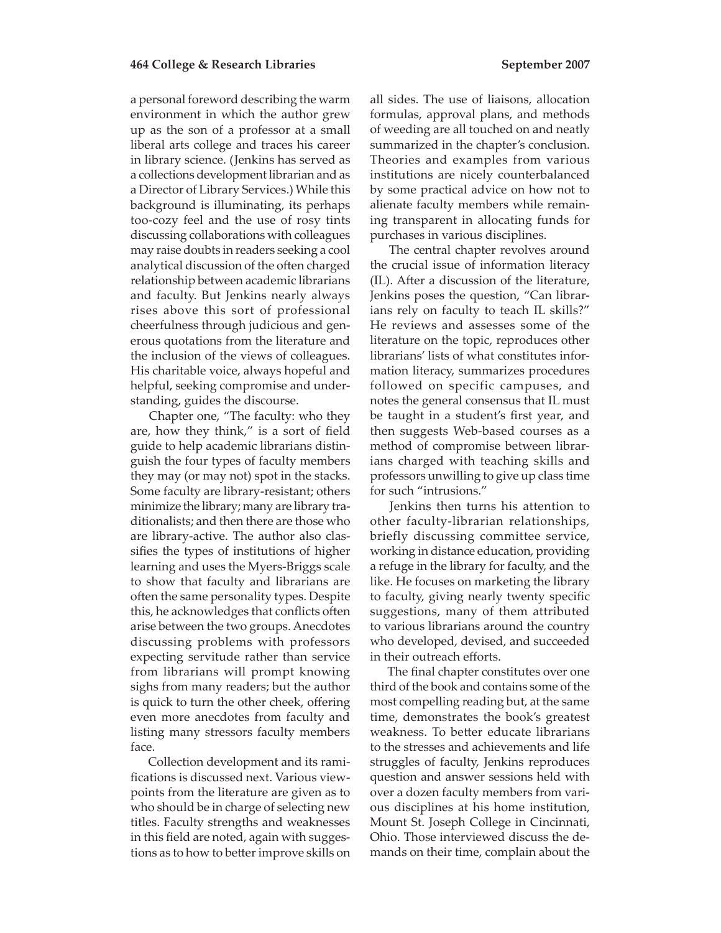a personal foreword describing the warm environment in which the author grew up as the son of a professor at a small liberal arts college and traces his career in library science. (Jenkins has served as a collections development librarian and as a Director of Library Services.) While this background is illuminating, its perhaps too-cozy feel and the use of rosy tints discussing collaborations with colleagues may raise doubts in readers seeking a cool analytical discussion of the often charged relationship between academic librarians and faculty. But Jenkins nearly always rises above this sort of professional cheerfulness through judicious and generous quotations from the literature and the inclusion of the views of colleagues. His charitable voice, always hopeful and helpful, seeking compromise and understanding, guides the discourse.

 Chapter one, "The faculty: who they are, how they think," is a sort of field guide to help academic librarians distinguish the four types of faculty members they may (or may not) spot in the stacks. Some faculty are library-resistant; others minimize the library; many are library traditionalists; and then there are those who are library-active. The author also classifies the types of institutions of higher learning and uses the Myers-Briggs scale to show that faculty and librarians are often the same personality types. Despite this, he acknowledges that conflicts often arise between the two groups. Anecdotes discussing problems with professors expecting servitude rather than service from librarians will prompt knowing sighs from many readers; but the author is quick to turn the other cheek, offering even more anecdotes from faculty and listing many stressors faculty members face.

 Collection development and its ramifications is discussed next. Various viewpoints from the literature are given as to who should be in charge of selecting new titles. Faculty strengths and weaknesses in this field are noted, again with suggestions as to how to better improve skills on

all sides. The use of liaisons, allocation formulas, approval plans, and methods of weeding are all touched on and neatly summarized in the chapter's conclusion. Theories and examples from various institutions are nicely counterbalanced by some practical advice on how not to alienate faculty members while remaining transparent in allocating funds for purchases in various disciplines.

 The central chapter revolves around the crucial issue of information literacy (IL). After a discussion of the literature, Jenkins poses the question, "Can librarians rely on faculty to teach IL skills?" He reviews and assesses some of the literature on the topic, reproduces other librarians' lists of what constitutes information literacy, summarizes procedures followed on specific campuses, and notes the general consensus that IL must be taught in a student's first year, and then suggests Web-based courses as a method of compromise between librarians charged with teaching skills and professors unwilling to give up class time for such "intrusions."

 Jenkins then turns his attention to other faculty-librarian relationships, briefly discussing committee service, working in distance education, providing a refuge in the library for faculty, and the like. He focuses on marketing the library to faculty, giving nearly twenty specific suggestions, many of them attributed to various librarians around the country who developed, devised, and succeeded in their outreach efforts.

 The final chapter constitutes over one third of the book and contains some of the most compelling reading but, at the same time, demonstrates the book's greatest weakness. To better educate librarians to the stresses and achievements and life struggles of faculty, Jenkins reproduces question and answer sessions held with over a dozen faculty members from various disciplines at his home institution, Mount St. Joseph College in Cincinnati, Ohio. Those interviewed discuss the demands on their time, complain about the